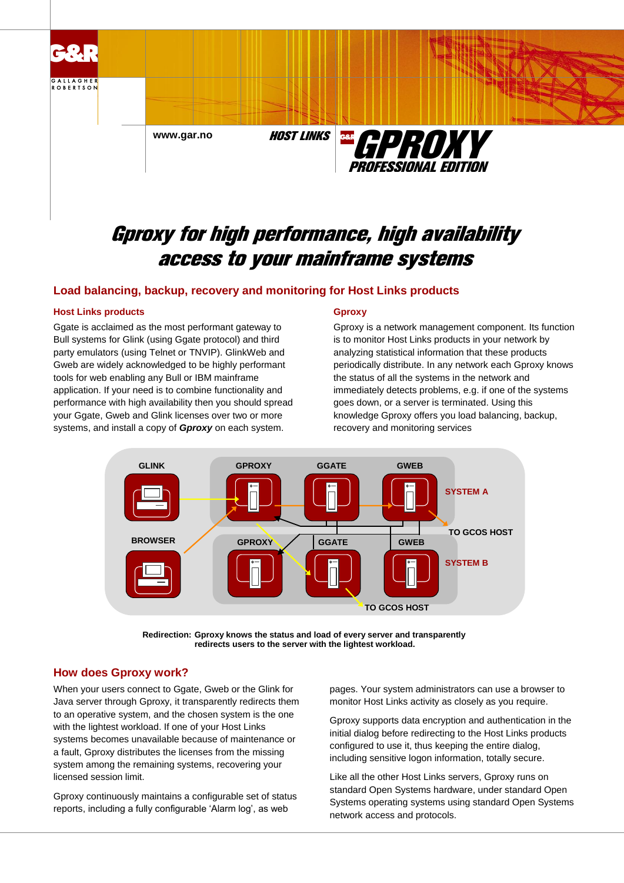

# Gproxy for high performance, high availability access to your mainframe systems

## **Load balancing, backup, recovery and monitoring for Host Links products**

#### **Host Links products**

Ggate is acclaimed as the most performant gateway to Bull systems for Glink (using Ggate protocol) and third party emulators (using Telnet or TNVIP). GlinkWeb and Gweb are widely acknowledged to be highly performant tools for web enabling any Bull or IBM mainframe application. If your need is to combine functionality and performance with high availability then you should spread your Ggate, Gweb and Glink licenses over two or more systems, and install a copy of *Gproxy* on each system.

#### **Gproxy**

Gproxy is a network management component. Its function is to monitor Host Links products in your network by analyzing statistical information that these products periodically distribute. In any network each Gproxy knows the status of all the systems in the network and immediately detects problems, e.g. if one of the systems goes down, or a server is terminated. Using this knowledge Gproxy offers you load balancing, backup, recovery and monitoring services



**Redirection: Gproxy knows the status and load of every server and transparently redirects users to the server with the lightest workload.**

### **How does Gproxy work?**

When your users connect to Ggate, Gweb or the Glink for Java server through Gproxy, it transparently redirects them to an operative system, and the chosen system is the one with the lightest workload. If one of your Host Links systems becomes unavailable because of maintenance or a fault, Gproxy distributes the licenses from the missing system among the remaining systems, recovering your licensed session limit.

Gproxy continuously maintains a configurable set of status reports, including a fully configurable 'Alarm log', as web

pages. Your system administrators can use a browser to monitor Host Links activity as closely as you require.

Gproxy supports data encryption and authentication in the initial dialog before redirecting to the Host Links products configured to use it, thus keeping the entire dialog, including sensitive logon information, totally secure.

Like all the other Host Links servers, Gproxy runs on standard Open Systems hardware, under standard Open Systems operating systems using standard Open Systems network access and protocols.